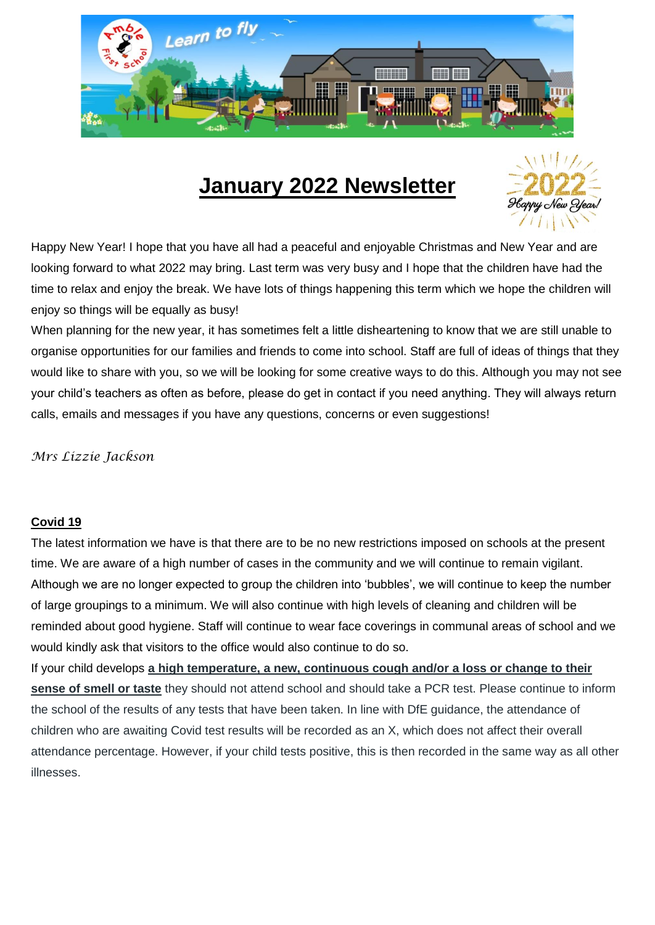

# **January 2022 Newsletter**



Happy New Year! I hope that you have all had a peaceful and enjoyable Christmas and New Year and are looking forward to what 2022 may bring. Last term was very busy and I hope that the children have had the time to relax and enjoy the break. We have lots of things happening this term which we hope the children will enjoy so things will be equally as busy!

When planning for the new year, it has sometimes felt a little disheartening to know that we are still unable to organise opportunities for our families and friends to come into school. Staff are full of ideas of things that they would like to share with you, so we will be looking for some creative ways to do this. Although you may not see your child's teachers as often as before, please do get in contact if you need anything. They will always return calls, emails and messages if you have any questions, concerns or even suggestions!

*Mrs Lizzie Jackson*

### **Covid 19**

The latest information we have is that there are to be no new restrictions imposed on schools at the present time. We are aware of a high number of cases in the community and we will continue to remain vigilant. Although we are no longer expected to group the children into 'bubbles', we will continue to keep the number of large groupings to a minimum. We will also continue with high levels of cleaning and children will be reminded about good hygiene. Staff will continue to wear face coverings in communal areas of school and we would kindly ask that visitors to the office would also continue to do so.

If your child develops **a high temperature, a new, continuous cough and/or a loss or change to their sense of smell or taste** they should not attend school and should take a PCR test. Please continue to inform the school of the results of any tests that have been taken. In line with DfE guidance, the attendance of children who are awaiting Covid test results will be recorded as an X, which does not affect their overall attendance percentage. However, if your child tests positive, this is then recorded in the same way as all other illnesses.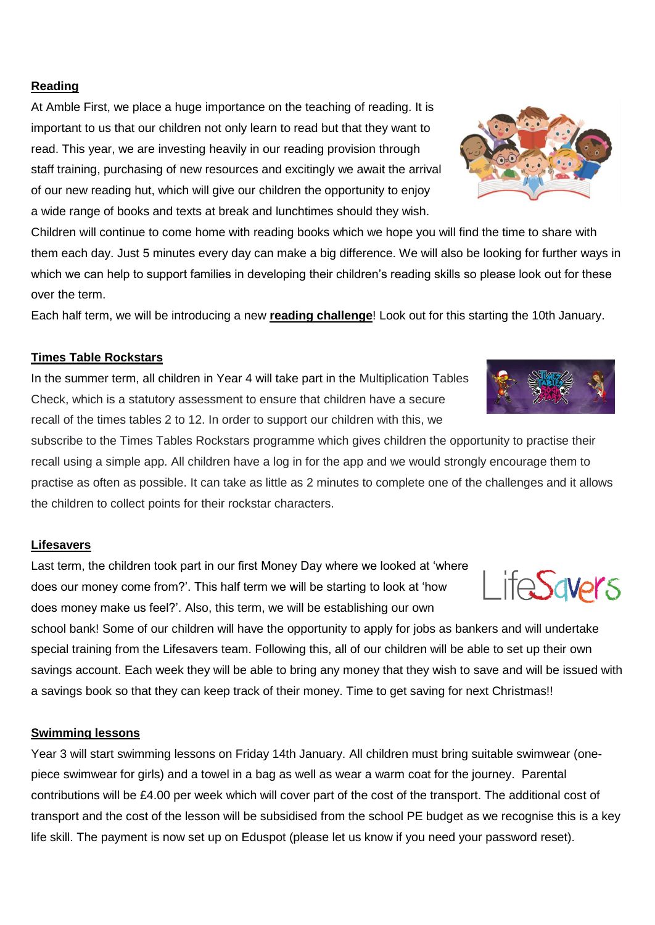#### **Reading**

At Amble First, we place a huge importance on the teaching of reading. It is important to us that our children not only learn to read but that they want to read. This year, we are investing heavily in our reading provision through staff training, purchasing of new resources and excitingly we await the arrival of our new reading hut, which will give our children the opportunity to enjoy a wide range of books and texts at break and lunchtimes should they wish.

Children will continue to come home with reading books which we hope you will find the time to share with them each day. Just 5 minutes every day can make a big difference. We will also be looking for further ways in which we can help to support families in developing their children's reading skills so please look out for these over the term.

Each half term, we will be introducing a new **reading challenge**! Look out for this starting the 10th January.

#### **Times Table Rockstars**

In the summer term, all children in Year 4 will take part in the Multiplication Tables Check, which is a statutory assessment to ensure that children have a secure recall of the times tables 2 to 12. In order to support our children with this, we

subscribe to the Times Tables Rockstars programme which gives children the opportunity to practise their recall using a simple app. All children have a log in for the app and we would strongly encourage them to practise as often as possible. It can take as little as 2 minutes to complete one of the challenges and it allows the children to collect points for their rockstar characters.

#### **Lifesavers**

Last term, the children took part in our first Money Day where we looked at 'where does our money come from?'. This half term we will be starting to look at 'how does money make us feel?'. Also, this term, we will be establishing our own

school bank! Some of our children will have the opportunity to apply for jobs as bankers and will undertake special training from the Lifesavers team. Following this, all of our children will be able to set up their own savings account. Each week they will be able to bring any money that they wish to save and will be issued with a savings book so that they can keep track of their money. Time to get saving for next Christmas!!

#### **Swimming lessons**

Year 3 will start swimming lessons on Friday 14th January. All children must bring suitable swimwear (onepiece swimwear for girls) and a towel in a bag as well as wear a warm coat for the journey. Parental contributions will be £4.00 per week which will cover part of the cost of the transport. The additional cost of transport and the cost of the lesson will be subsidised from the school PE budget as we recognise this is a key life skill. The payment is now set up on Eduspot (please let us know if you need your password reset).







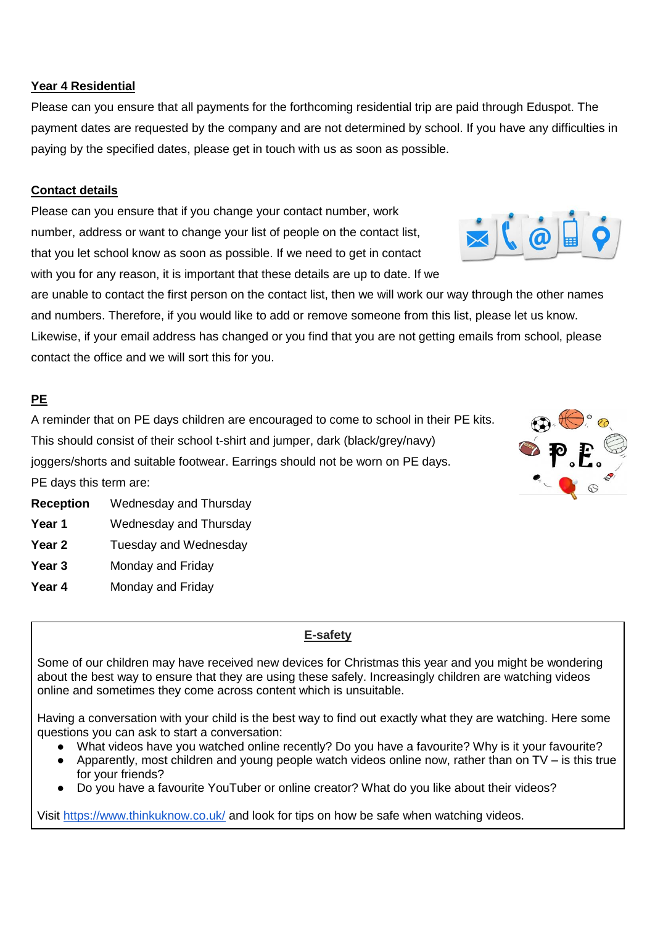#### **Year 4 Residential**

Please can you ensure that all payments for the forthcoming residential trip are paid through Eduspot. The payment dates are requested by the company and are not determined by school. If you have any difficulties in paying by the specified dates, please get in touch with us as soon as possible.

#### **Contact details**

Please can you ensure that if you change your contact number, work number, address or want to change your list of people on the contact list, that you let school know as soon as possible. If we need to get in contact with you for any reason, it is important that these details are up to date. If we

are unable to contact the first person on the contact list, then we will work our way through the other names and numbers. Therefore, if you would like to add or remove someone from this list, please let us know. Likewise, if your email address has changed or you find that you are not getting emails from school, please contact the office and we will sort this for you.

#### **PE**

A reminder that on PE days children are encouraged to come to school in their PE kits. This should consist of their school t-shirt and jumper, dark (black/grey/navy) joggers/shorts and suitable footwear. Earrings should not be worn on PE days.

PE days this term are:

- **Reception** Wednesday and Thursday
- Year 1 Wednesday and Thursday
- **Year 2** Tuesday and Wednesday
- **Year 3** Monday and Friday
- **Year 4** Monday and Friday

## **E-safety**

Some of our children may have received new devices for Christmas this year and you might be wondering about the best way to ensure that they are using these safely. Increasingly children are watching videos online and sometimes they come across content which is unsuitable.

Having a conversation with your child is the best way to find out exactly what they are watching. Here some questions you can ask to start a conversation:

- What videos have you watched online recently? Do you have a favourite? Why is it your favourite?
- Apparently, most children and young people watch videos online now, rather than on  $TV i$ s this true for your friends?
- Do you have a favourite YouTuber or online creator? What do you like about their videos?

Visit<https://www.thinkuknow.co.uk/> and look for tips on how be safe when watching videos.